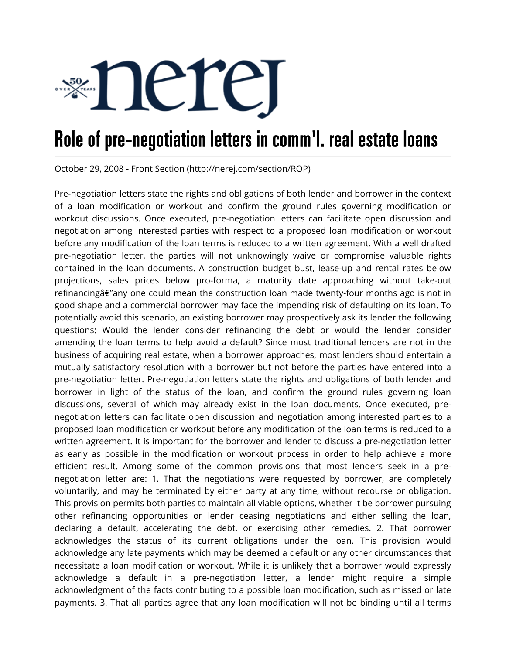

## Role of pre-negotiation letters in comm'l. real estate loans

October 29, 2008 - Front Section (http://nerej.com/section/ROP)

Pre-negotiation letters state the rights and obligations of both lender and borrower in the context of a loan modification or workout and confirm the ground rules governing modification or workout discussions. Once executed, pre-negotiation letters can facilitate open discussion and negotiation among interested parties with respect to a proposed loan modification or workout before any modification of the loan terms is reduced to a written agreement. With a well drafted pre-negotiation letter, the parties will not unknowingly waive or compromise valuable rights contained in the loan documents. A construction budget bust, lease-up and rental rates below projections, sales prices below pro-forma, a maturity date approaching without take-out refinancing $a \in \mathbb{Z}$  any one could mean the construction loan made twenty-four months ago is not in good shape and a commercial borrower may face the impending risk of defaulting on its loan. To potentially avoid this scenario, an existing borrower may prospectively ask its lender the following questions: Would the lender consider refinancing the debt or would the lender consider amending the loan terms to help avoid a default? Since most traditional lenders are not in the business of acquiring real estate, when a borrower approaches, most lenders should entertain a mutually satisfactory resolution with a borrower but not before the parties have entered into a pre-negotiation letter. Pre-negotiation letters state the rights and obligations of both lender and borrower in light of the status of the loan, and confirm the ground rules governing loan discussions, several of which may already exist in the loan documents. Once executed, prenegotiation letters can facilitate open discussion and negotiation among interested parties to a proposed loan modification or workout before any modification of the loan terms is reduced to a written agreement. It is important for the borrower and lender to discuss a pre-negotiation letter as early as possible in the modification or workout process in order to help achieve a more efficient result. Among some of the common provisions that most lenders seek in a prenegotiation letter are: 1. That the negotiations were requested by borrower, are completely voluntarily, and may be terminated by either party at any time, without recourse or obligation. This provision permits both parties to maintain all viable options, whether it be borrower pursuing other refinancing opportunities or lender ceasing negotiations and either selling the loan, declaring a default, accelerating the debt, or exercising other remedies. 2. That borrower acknowledges the status of its current obligations under the loan. This provision would acknowledge any late payments which may be deemed a default or any other circumstances that necessitate a loan modification or workout. While it is unlikely that a borrower would expressly acknowledge a default in a pre-negotiation letter, a lender might require a simple acknowledgment of the facts contributing to a possible loan modification, such as missed or late payments. 3. That all parties agree that any loan modification will not be binding until all terms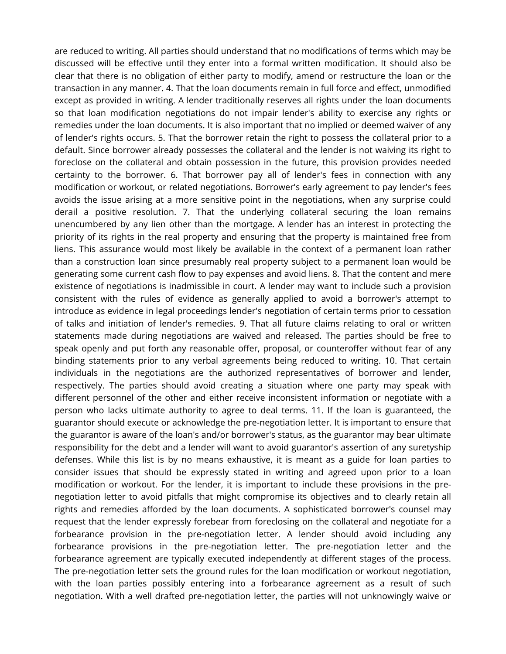are reduced to writing. All parties should understand that no modifications of terms which may be discussed will be effective until they enter into a formal written modification. It should also be clear that there is no obligation of either party to modify, amend or restructure the loan or the transaction in any manner. 4. That the loan documents remain in full force and effect, unmodified except as provided in writing. A lender traditionally reserves all rights under the loan documents so that loan modification negotiations do not impair lender's ability to exercise any rights or remedies under the loan documents. It is also important that no implied or deemed waiver of any of lender's rights occurs. 5. That the borrower retain the right to possess the collateral prior to a default. Since borrower already possesses the collateral and the lender is not waiving its right to foreclose on the collateral and obtain possession in the future, this provision provides needed certainty to the borrower. 6. That borrower pay all of lender's fees in connection with any modification or workout, or related negotiations. Borrower's early agreement to pay lender's fees avoids the issue arising at a more sensitive point in the negotiations, when any surprise could derail a positive resolution. 7. That the underlying collateral securing the loan remains unencumbered by any lien other than the mortgage. A lender has an interest in protecting the priority of its rights in the real property and ensuring that the property is maintained free from liens. This assurance would most likely be available in the context of a permanent loan rather than a construction loan since presumably real property subject to a permanent loan would be generating some current cash flow to pay expenses and avoid liens. 8. That the content and mere existence of negotiations is inadmissible in court. A lender may want to include such a provision consistent with the rules of evidence as generally applied to avoid a borrower's attempt to introduce as evidence in legal proceedings lender's negotiation of certain terms prior to cessation of talks and initiation of lender's remedies. 9. That all future claims relating to oral or written statements made during negotiations are waived and released. The parties should be free to speak openly and put forth any reasonable offer, proposal, or counteroffer without fear of any binding statements prior to any verbal agreements being reduced to writing. 10. That certain individuals in the negotiations are the authorized representatives of borrower and lender, respectively. The parties should avoid creating a situation where one party may speak with different personnel of the other and either receive inconsistent information or negotiate with a person who lacks ultimate authority to agree to deal terms. 11. If the loan is guaranteed, the guarantor should execute or acknowledge the pre-negotiation letter. It is important to ensure that the guarantor is aware of the loan's and/or borrower's status, as the guarantor may bear ultimate responsibility for the debt and a lender will want to avoid guarantor's assertion of any suretyship defenses. While this list is by no means exhaustive, it is meant as a guide for loan parties to consider issues that should be expressly stated in writing and agreed upon prior to a loan modification or workout. For the lender, it is important to include these provisions in the prenegotiation letter to avoid pitfalls that might compromise its objectives and to clearly retain all rights and remedies afforded by the loan documents. A sophisticated borrower's counsel may request that the lender expressly forebear from foreclosing on the collateral and negotiate for a forbearance provision in the pre-negotiation letter. A lender should avoid including any forbearance provisions in the pre-negotiation letter. The pre-negotiation letter and the forbearance agreement are typically executed independently at different stages of the process. The pre-negotiation letter sets the ground rules for the loan modification or workout negotiation, with the loan parties possibly entering into a forbearance agreement as a result of such negotiation. With a well drafted pre-negotiation letter, the parties will not unknowingly waive or